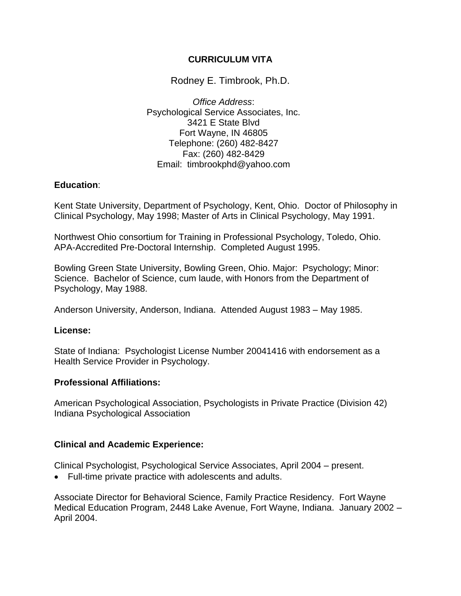# **CURRICULUM VITA**

Rodney E. Timbrook, Ph.D.

*Office Address*: Psychological Service Associates, Inc. 3421 E State Blvd Fort Wayne, IN 46805 Telephone: (260) 482-8427 Fax: (260) 482-8429 Email: timbrookphd@yahoo.com

## **Education**:

Kent State University, Department of Psychology, Kent, Ohio. Doctor of Philosophy in Clinical Psychology, May 1998; Master of Arts in Clinical Psychology, May 1991.

Northwest Ohio consortium for Training in Professional Psychology, Toledo, Ohio. APA-Accredited Pre-Doctoral Internship. Completed August 1995.

Bowling Green State University, Bowling Green, Ohio. Major: Psychology; Minor: Science. Bachelor of Science, cum laude, with Honors from the Department of Psychology, May 1988.

Anderson University, Anderson, Indiana. Attended August 1983 – May 1985.

## **License:**

State of Indiana: Psychologist License Number 20041416 with endorsement as a Health Service Provider in Psychology.

## **Professional Affiliations:**

American Psychological Association, Psychologists in Private Practice (Division 42) Indiana Psychological Association

## **Clinical and Academic Experience:**

Clinical Psychologist, Psychological Service Associates, April 2004 – present.

• Full-time private practice with adolescents and adults.

Associate Director for Behavioral Science, Family Practice Residency. Fort Wayne Medical Education Program, 2448 Lake Avenue, Fort Wayne, Indiana. January 2002 – April 2004.